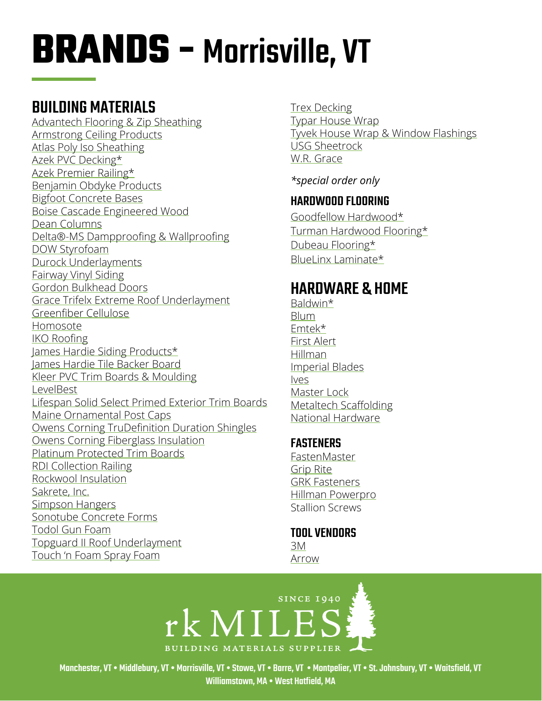# **BRANDS -** Morrisville, VT

## BUILDING MATERIALS

[Advantech Flooring & Zip Sheathing](https://www.huberwood.com/) [Armstrong Ceiling Products](http://www.armstrongceilings.com/residential/en-us/) [Atlas Poly Iso Sheathing](http://www.atlasroofing.com/general2.php?section_url=2) [Azek PVC Decking\\*](https://www.timbertech.com/azek-decking) [Azek Premier Railing](https://www.timbertech.com/azek-railing)\* [Benjamin Obdyke Products](http://www.benjaminobdyke.com/) [Bigfoot Concrete Bases](http://www.bigfootsystems.com/) [Boise Cascade Engineered Wood](https://www.bc.com/ewp/) [Dean Columns](http://www.deancolumn.com/) [Delta®-MS Dampproofing & Wallproofing](http://www.cosella-dorken.com/bvf-ca-en/products/foundation_residential/dimplesheets/products/ms.php) [DOW Styrofoam](http://building.dow.com/na/en/products/insulation/rigidfoam.htm) [Durock Underlayments](http://www.usg.com/durock-cement-board.html) [Fairway Vinyl Siding](https://www.fairwaywholesale.com/fairway) [Gordon Bulkhead Doors](http://www.gordoncelladoor.com/) [Grace Trifelx Extreme Roof Underlayment](https://gcpat.com/en/solutions/products/tri-flex-synthetic-underlayment/tri-flex-xt-synthetic-underlayment) [Greenfiber Cellulose](https://www.greenfiber.com/) [Homosote](http://www.homasote.com/) [IKO Roofing](http://www.iko.com/us/) [James Hardie Siding Products\\*](http://www.jameshardie.com/homeowner/siding.shtml) [James Hardie Tile Backer Board](https://www.jameshardie.com/products/hardiebacker-cement-board) [Kleer PVC Trim Boards & Moulding](https://kleerlumber.com/) [LevelBest](https://savogran.com/pdfs/Level_Best_PD.pdf) [Lifespan Solid Select Primed Exterior Trim Boards](http://www.lifespansolidselect.com/) [Maine Ornamental Post Caps](https://www.deckorators.com/products/post-caps/) [Owens Corning TruDefinition Duration Shingles](https://www.owenscorning.com/roofing/shingles/trudefinition-duration) [Owens Corning Fiberglass Insulation](https://www.owenscorning.com/insulation) [Platinum Protected Trim Boards](https://www.gardenstatelumber.com/products-programs/s4s-boards/) [RDI Collection Railing](https://www.barretteoutdoorliving.com/product/rdi-collection-titan-pro-rail-vinyl-railing-kit) [Rockwool Insulation](https://www.rockwool.com/) [Sakrete, Inc.](http://www.sakrete.com/) [Simpson Hangers](http://www.strongtie.com/) [Sonotube Concrete Forms](http://sonotube.com/products/sonotubeconcreteforms.aspx) [Todol Gun Foam](http://www.todol.com/) [Topguard II Roof Underlaymen](http://www.rooftopguard.com/en/home.html)t [Touch 'n Foam Spray Foam](http://www.touch-n-foam.com/index.php)

[Trex Decking](http://www.trex.com/) [Typar House Wrap](http://www.typar.com/products/typar-buildingwrap/) [Tyvek House Wrap & Window Flashings](https://www.dupont.com/products/tyvek-homewrap-superior-house-wrap.html) [USG Sheetrock](https://www.usg.com/content/usgcom/en.html) [W.R. Grace](http://www.grace.com/)

*\*special order only*

#### HARDWOOD FLOORING

[Goodfellow Hardwood\\*](http://www.goodfellowinc.com/en/categorie_produit/flooring/) [Turman Hardwood Flooring\\*](https://www.turmanhardwoodflooring.com/) [Dubeau Flooring\\*](http://dubeaufloors.com/hardwood-floors/) [BlueLinx Laminate\\*](http://www.bluelinxco.com/files/InteriorProducts/Flooring/LVT-LAM%20Brochure%20-%20AllentownDenvilleLong%20Island-LOW.pdf)

### HARDWARE & HOM[E](http://www.ashleynorton.com/)

[Baldwin\\*](http://www.baldwinhardware.com/) [Blum](http://www.blum.com/us/en/index.php) [Emtek](http://www.emtekproducts.com/)\* [First Alert](http://www.firstalert.com/) [Hillman](http://www.hillmangroup.com/) [Imperial Blades](https://imperialblades.com/) [Ives](https://us.allegion.com/en/home/products/brands/ives.html) [Master Lock](http://www.masterlock.com/) [Metaltech Scaffolding](https://www.metaltech.co/) [National Hardware](http://www.natman.com/)

#### **FASTENERS**

[FastenMaster](https://www.fastenmaster.com/) [Grip Rite](https://www.grip-rite.com/) [GRK Fasteners](https://www.grkfasteners.com/) [Hillman Powerpro](http://wedo.hillmangroup.com/viewitems/wood/power-pro-all-purpose-wood-screw-star-drive) Stallion Screws

TOOL VENDORS [3M](http://solutions.3m.com/en_US/) [Arrow](https://www.arrowfastener.com/)



Manchester, VT • Middlebury, VT • Morrisville, VT • Stowe, VT • Barre, VT • Montpelier, VT • St. Johnsbury, VT • Waitsfield, VT Williamstown, MA • West Hatfield, MA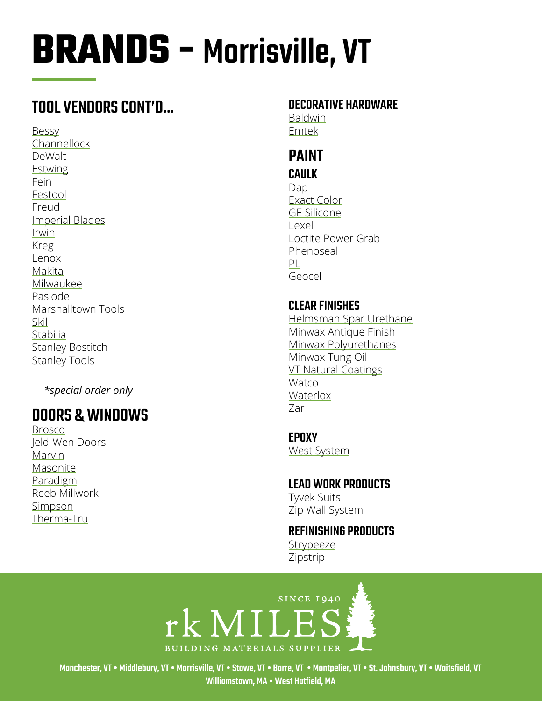# **BRANDS - Morrisville, VT**

## TOOL VENDORS CONT'D...

**Bessy** Channellock DeWalt **Estwing** Fein Festool Freud **Imperial Blades** Irwin **Kreg** Lenox Makita Milwaukee Paslode Marshalltown Tools Skil Stabilia **Stanley Bostitch Stanley Tools** 

\*special order only

## **DOORS & WINDOWS**

**Brosco** Jeld-Wen Doors Marvin Masonite Paradigm Reeb Millwork Simpson Therma-Tru

#### *DECORATIVE HARDWARE*

**Baldwin** Emtek

### **PAINT**

#### **CAULK**

Dap Exact Color **GE Silicone** Lexel Loctite Power Grab Phenoseal PL Geocel

#### **CLEAR FINISHES** Helmsman Spar Urethane Minwax Antique Finish Minwax Polyurethanes Minwax Tung Oil **VT Natural Coatings** Watco Waterlox Zar

**EPOXY West System** 

**LEAD WORK PRODUCTS Tyvek Suits** Zip Wall System

#### **REFINISHING PRODUCTS** Strypeeze

Zipstrip



Manchester, VT • Middlebury, VT • Morrisville, VT • Stowe, VT • Barre, VT • Montpelier, VT • St. Johnsbury, VT • Waitsfield, VT Williamstown, MA . West Hatfield, MA